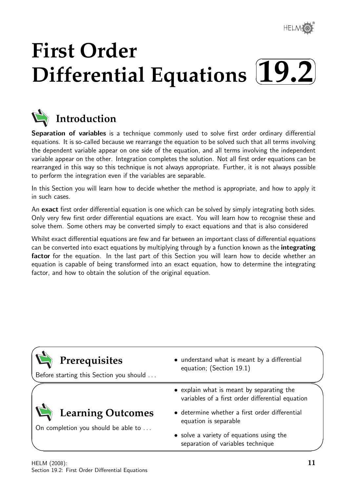

✏

# **First Order** Differential Equations (19.2)  $\sqrt{2}$



# **Introduction**

Separation of variables is a technique commonly used to solve first order ordinary differential equations. It is so-called because we rearrange the equation to be solved such that all terms involving the dependent variable appear on one side of the equation, and all terms involving the independent variable appear on the other. Integration completes the solution. Not all first order equations can be rearranged in this way so this technique is not always appropriate. Further, it is not always possible to perform the integration even if the variables are separable.

In this Section you will learn how to decide whether the method is appropriate, and how to apply it in such cases.

An exact first order differential equation is one which can be solved by simply integrating both sides. Only very few first order differential equations are exact. You will learn how to recognise these and solve them. Some others may be converted simply to exact equations and that is also considered

Whilst exact differential equations are few and far between an important class of differential equations can be converted into exact equations by multiplying through by a function known as the **integrating** factor for the equation. In the last part of this Section you will learn how to decide whether an equation is capable of being transformed into an exact equation, how to determine the integrating factor, and how to obtain the solution of the original equation.

| Prerequisites<br>Before starting this Section you should | • understand what is meant by a differential<br>equation; (Section 19.1)                      |  |  |  |
|----------------------------------------------------------|-----------------------------------------------------------------------------------------------|--|--|--|
|                                                          | • explain what is meant by separating the<br>variables of a first order differential equation |  |  |  |
| Learning Outcomes<br>On completion you should be able to | • determine whether a first order differential<br>equation is separable                       |  |  |  |
|                                                          | • solve a variety of equations using the<br>separation of variables technique                 |  |  |  |

 $\overline{\phantom{0}}$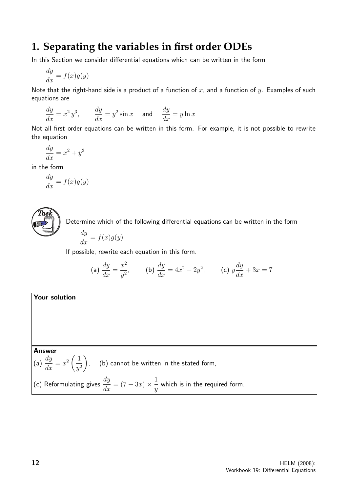## **1. Separating the variables in first order ODEs**

In this Section we consider differential equations which can be written in the form

$$
\frac{dy}{dx} = f(x)g(y)
$$

Note that the right-hand side is a product of a function of x, and a function of y. Examples of such equations are

$$
\frac{dy}{dx} = x^2 y^3, \qquad \frac{dy}{dx} = y^2 \sin x \quad \text{ and } \quad \frac{dy}{dx} = y \ln x
$$

Not all first order equations can be written in this form. For example, it is not possible to rewrite the equation

$$
\frac{dy}{dx} = x^2 + y^3
$$

in the form

$$
\frac{dy}{dx} = f(x)g(y)
$$



Determine which of the following differential equations can be written in the form

$$
\frac{dy}{dx} = f(x)g(y)
$$

If possible, rewrite each equation in this form.

(a) 
$$
\frac{dy}{dx} = \frac{x^2}{y^2}
$$
, (b)  $\frac{dy}{dx} = 4x^2 + 2y^2$ , (c)  $y\frac{dy}{dx} + 3x = 7$ 

### Your solution

### Answer

(a)  $\frac{dy}{dx}$  $\frac{dy}{dx} = x^2 \left( \frac{1}{y^2} \right)$  $y^2$  $\setminus$ , (b) cannot be written in the stated form,

(c) Reformulating gives  $\displaystyle{\frac{dy}{dx}=(7-3x)\times\frac{1}{y}}$  $\hat{y}$ which is in the required form.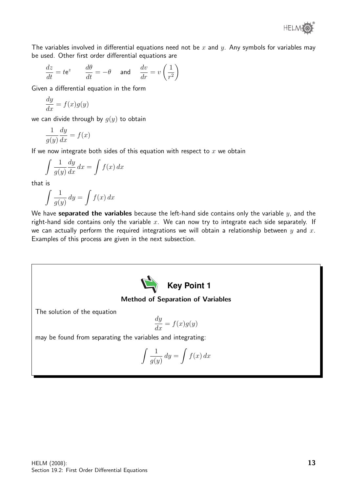

The variables involved in differential equations need not be x and y. Any symbols for variables may be used. Other first order differential equations are

$$
\frac{dz}{dt} = te^z \qquad \frac{d\theta}{dt} = -\theta \qquad \text{and} \qquad \frac{dv}{dr} = v\left(\frac{1}{r^2}\right)
$$

Given a differential equation in the form

$$
\frac{dy}{dx} = f(x)g(y)
$$

we can divide through by  $q(y)$  to obtain

$$
\frac{1}{g(y)}\frac{dy}{dx} = f(x)
$$

If we now integrate both sides of this equation with respect to  $x$  we obtain

$$
\int \frac{1}{g(y)} \frac{dy}{dx} dx = \int f(x) dx
$$

that is

$$
\int \frac{1}{g(y)} \, dy = \int f(x) \, dx
$$

We have separated the variables because the left-hand side contains only the variable  $y$ , and the right-hand side contains only the variable  $x$ . We can now try to integrate each side separately. If we can actually perform the required integrations we will obtain a relationship between  $y$  and  $x$ . Examples of this process are given in the next subsection.



#### Method of Separation of Variables

The solution of the equation

$$
\frac{dy}{dx} = f(x)g(y)
$$

may be found from separating the variables and integrating:

$$
\int \frac{1}{g(y)} \, dy = \int f(x) \, dx
$$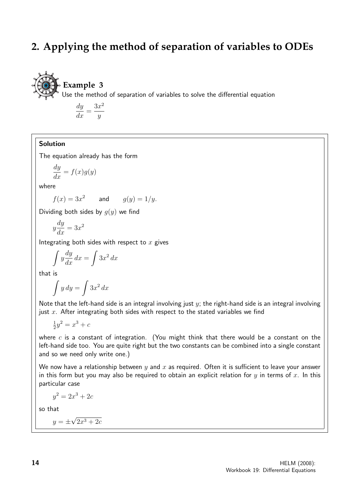# **2. Applying the method of separation of variables to ODEs**



# **Example 3**

Use the method of separation of variables to solve the differential equation

dy  $\frac{dy}{dx} =$  $3x^2$  $\hat{y}$ 

### Solution

The equation already has the form

$$
\frac{dy}{dx} = f(x)g(y)
$$

where

$$
f(x) = 3x^2 \qquad \text{and} \qquad g(y) = 1/y.
$$

Dividing both sides by  $q(y)$  we find

$$
y\frac{dy}{dx} = 3x^2
$$

Integrating both sides with respect to  $x$  gives

$$
\int y \frac{dy}{dx} dx = \int 3x^2 dx
$$

that is

$$
\int y \, dy = \int 3x^2 \, dx
$$

Note that the left-hand side is an integral involving just  $y$ ; the right-hand side is an integral involving just  $x$ . After integrating both sides with respect to the stated variables we find

$$
\frac{1}{2}y^2 = x^3 + c
$$

where  $c$  is a constant of integration. (You might think that there would be a constant on the left-hand side too. You are quite right but the two constants can be combined into a single constant and so we need only write one.)

We now have a relationship between  $y$  and  $x$  as required. Often it is sufficient to leave your answer in this form but you may also be required to obtain an explicit relation for  $y$  in terms of  $x$ . In this particular case

$$
y^2 = 2x^3 + 2c
$$

so that

$$
y = \pm \sqrt{2x^3 + 2c}
$$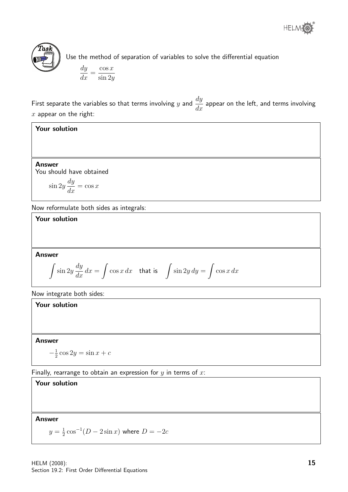



Use the method of separation of variables to solve the differential equation

$$
\frac{dy}{dx} = \frac{\cos x}{\sin 2y}
$$

First separate the variables so that terms involving y and  $\frac{dy}{dx}$  $\frac{dy}{dx}$  appear on the left, and terms involving  $x$  appear on the right:

Your solution

Answer You should have obtained

$$
\sin 2y \frac{dy}{dx} = \cos x
$$

Now reformulate both sides as integrals:

Your solution

Answer

$$
\int \sin 2y \frac{dy}{dx} dx = \int \cos x \, dx \quad \text{that is} \quad \int \sin 2y \, dy = \int \cos x \, dx
$$

Now integrate both sides:

Your solution

Answer

 $-\frac{1}{2}$  $\frac{1}{2}\cos 2y = \sin x + c$ 

Finally, rearrange to obtain an expression for  $y$  in terms of  $x$ :

Answer

Your solution

 $y=\frac{1}{2}$  $\frac{1}{2}\cos^{-1}(D-2\sin x)$  where  $D=-2c$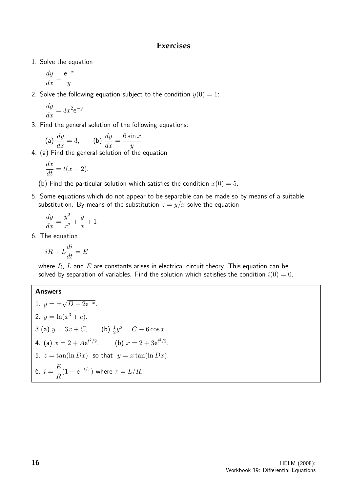### **Exercises**

1. Solve the equation

$$
\frac{dy}{dx} = \frac{e^{-x}}{y}.
$$

2. Solve the following equation subject to the condition  $y(0) = 1$ :

$$
\frac{dy}{dx} = 3x^2 e^{-y}
$$

3. Find the general solution of the following equations:

(a) 
$$
\frac{dy}{dx} = 3
$$
, (b)  $\frac{dy}{dx} = \frac{6 \sin x}{y}$ 

4. (a) Find the general solution of the equation

$$
\frac{dx}{dt} = t(x-2).
$$

- (b) Find the particular solution which satisfies the condition  $x(0) = 5$ .
- 5. Some equations which do not appear to be separable can be made so by means of a suitable substitution. By means of the substitution  $z = y/x$  solve the equation

$$
\frac{dy}{dx} = \frac{y^2}{x^2} + \frac{y}{x} + 1
$$

6. The equation

$$
iR + L\frac{di}{dt} = E
$$

where  $R$ ,  $L$  and  $E$  are constants arises in electrical circuit theory. This equation can be solved by separation of variables. Find the solution which satisfies the condition  $i(0) = 0$ .

#### Answers

1. 
$$
y = \pm \sqrt{D - 2e^{-x}}
$$
.  
\n2.  $y = \ln(x^3 + e)$ .  
\n3 (a)  $y = 3x + C$ , (b)  $\frac{1}{2}y^2 = C - 6 \cos x$ .  
\n4. (a)  $x = 2 + Ae^{t^2/2}$ , (b)  $x = 2 + 3e^{t^2/2}$ .  
\n5.  $z = \tan(\ln Dx)$  so that  $y = x \tan(\ln Dx)$ .  
\n6.  $i = \frac{E}{R}(1 - e^{-t/\tau})$  where  $\tau = L/R$ .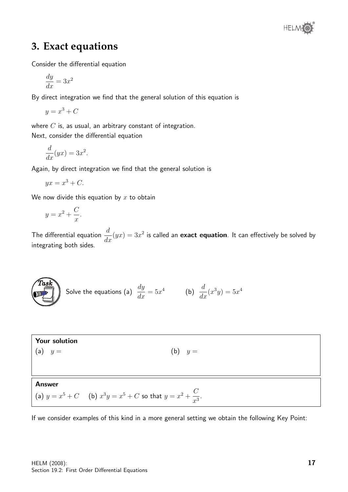

# **3. Exact equations**

Consider the differential equation

$$
\frac{dy}{dx} = 3x^2
$$

By direct integration we find that the general solution of this equation is

$$
y = x^3 + C
$$

where  $C$  is, as usual, an arbitrary constant of integration. Next, consider the differential equation

$$
\frac{d}{dx}(yx) = 3x^2.
$$

Again, by direct integration we find that the general solution is

$$
yx = x^3 + C.
$$

We now divide this equation by  $x$  to obtain

$$
y = x^2 + \frac{C}{x}.
$$

 $\widehat{T}$ as $\widehat{k}$ 

The differential equation  $\frac{d}{dt}$  $\frac{u}{dx}(yx) = 3x^2$  is called an **exact equation**. It can effectively be solved by integrating both sides.

Solve the equations (a) 
$$
\frac{dy}{dx} = 5x^4
$$
 (b)  $\frac{d}{dx}(x^3y) = 5x^4$ 

| <b>Your solution</b><br>$(a)$ $y =$ | $(b)$ $y =$                                                                |
|-------------------------------------|----------------------------------------------------------------------------|
| <b>Answer</b>                       | (a) $y = x^5 + C$ (b) $x^3y = x^5 + C$ so that $y = x^2 + \frac{C}{x^3}$ . |

If we consider examples of this kind in a more general setting we obtain the following Key Point: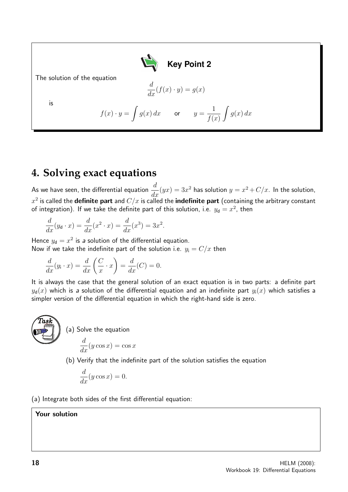

The solution of the equation

is

$$
\frac{d}{dx}(f(x)\cdot y) = g(x)
$$

$$
f(x) \cdot y = \int g(x) dx \quad \text{or} \quad y = \frac{1}{f(x)} \int g(x) dx
$$

# **4. Solving exact equations**

As we have seen, the differential equation  $\frac{d}{dt}$  $\frac{d}{dx}(yx) = 3x^2$  has solution  $y = x^2 + C/x$ . In the solution,  $x^2$  is called the **definite part** and  $C/x$  is called the **indefinite part** (containing the arbitrary constant of integration). If we take the definite part of this solution, i.e.  $y_{\mathsf{d}}=x^2$ , then

$$
\frac{d}{dx}(y_{\mathsf{d}} \cdot x) = \frac{d}{dx}(x^2 \cdot x) = \frac{d}{dx}(x^3) = 3x^2.
$$

Hence  $y_d = x^2$  is a solution of the differential equation. Now if we take the indefinite part of the solution i.e.  $y_i = C/x$  then

$$
\frac{d}{dx}(y_i \cdot x) = \frac{d}{dx}\left(\frac{C}{x} \cdot x\right) = \frac{d}{dx}(C) = 0.
$$

It is always the case that the general solution of an exact equation is in two parts: a definite part  $y_d(x)$  which is a solution of the differential equation and an indefinite part  $y_i(x)$  which satisfies a simpler version of the differential equation in which the right-hand side is zero.



(a) Solve the equation d  $\frac{d}{dx}(y \cos x) = \cos x$ 

(b) Verify that the indefinite part of the solution satisfies the equation

$$
\frac{d}{dx}(y\cos x) = 0.
$$

(a) Integrate both sides of the first differential equation:

Your solution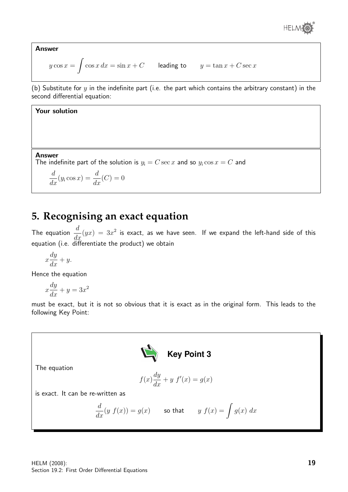

Answer

$$
y \cos x = \int \cos x \, dx = \sin x + C \qquad \text{leading to} \qquad y = \tan x + C \sec x
$$

(b) Substitute for  $y$  in the indefinite part (i.e. the part which contains the arbitrary constant) in the second differential equation:

### Your solution

#### Answer

The indefinite part of the solution is  $y_i = C \sec x$  and so  $y_i \cos x = C$  and

 $\frac{d}{dx}(y_i \cos x) = \frac{d}{dx}(C) = 0$ 

# **5. Recognising an exact equation**

The equation  $\frac{d}{dt}$  $\frac{d}{dx}(yx) = 3x^2$  is exact, as we have seen. If we expand the left-hand side of this equation (i.e. differentiate the product) we obtain

$$
x\frac{dy}{dx} + y.
$$

Hence the equation

$$
x\frac{dy}{dx} + y = 3x^2
$$

must be exact, but it is not so obvious that it is exact as in the original form. This leads to the following Key Point:



The equation

$$
f(x)\frac{dy}{dx} + y f'(x) = g(x)
$$

is exact. It can be re-written as

$$
\frac{d}{dx}(y f(x)) = g(x) \qquad \text{so that} \qquad y f(x) = \int g(x) dx
$$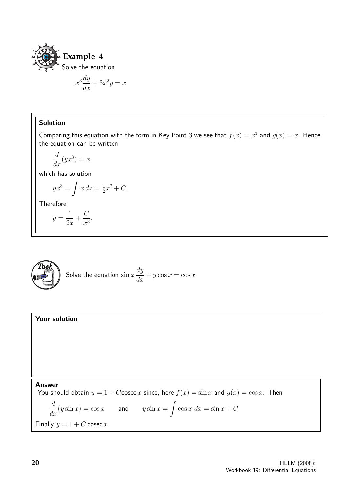

$$
x^3 \frac{dy}{dx} + 3x^2 y = x
$$

### Solution

Comparing this equation with the form in Key Point 3 we see that  $f(x) = x^3$  and  $g(x) = x$ . Hence the equation can be written

$$
\frac{d}{dx}(yx^3) = x
$$

which has solution

$$
yx^3 = \int x \, dx = \frac{1}{2}x^2 + C.
$$

Therefore

$$
y = \frac{1}{2x} + \frac{C}{x^3}.
$$



Solve the equation 
$$
\sin x \frac{dy}{dx} + y \cos x = \cos x
$$
.

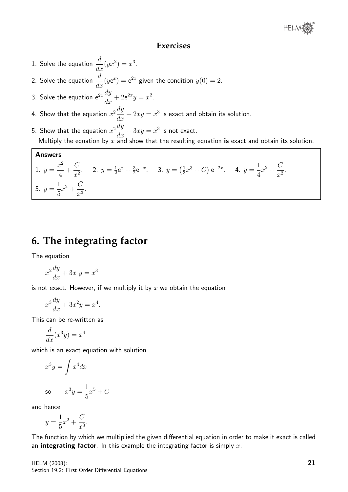### **Exercises**

- 1. Solve the equation  $\frac{d}{dx}(yx^2) = x^3$ .
- 2. Solve the equation  $\frac{d}{dt}$  $\frac{d}{dx}(y e^x) = e^{2x}$  given the condition  $y(0) = 2$ .
- 3. Solve the equation e $^{2x}\frac{dy}{dx}$  $\frac{dy}{dx} + 2e^{2x}y = x^2.$
- 4. Show that the equation  $x^2\frac{dy}{dx}$  $\frac{dy}{dx} + 2xy = x^3$  is exact and obtain its solution.
- 5. Show that the equation  $x^2\frac{dy}{dx}$  $\frac{dy}{dx} + 3xy = x^3$  is not exact. Multiply the equation by  $x \nightharpoonup x$  and show that the resulting equation is exact and obtain its solution.

#### Answers

1. 
$$
y = \frac{x^2}{4} + \frac{C}{x^2}
$$
. 2.  $y = \frac{1}{2}e^x + \frac{3}{2}e^{-x}$ . 3.  $y = (\frac{1}{3}x^3 + C)e^{-2x}$ . 4.  $y = \frac{1}{4}x^2 + \frac{C}{x^2}$ .  
5.  $y = \frac{1}{5}x^2 + \frac{C}{x^3}$ .

# **6. The integrating factor**

The equation

$$
x^2\frac{dy}{dx} + 3x y = x^3
$$

is not exact. However, if we multiply it by  $x$  we obtain the equation

$$
x^3 \frac{dy}{dx} + 3x^2 y = x^4.
$$

This can be re-written as

$$
\frac{d}{dx}(x^3y) = x^4
$$

which is an exact equation with solution

$$
x^3y = \int x^4 dx
$$
  
so 
$$
x^3y = \frac{1}{5}x^5 + C
$$

and hence

$$
y = \frac{1}{5}x^2 + \frac{C}{x^3}.
$$

The function by which we multiplied the given differential equation in order to make it exact is called an integrating factor. In this example the integrating factor is simply  $x$ .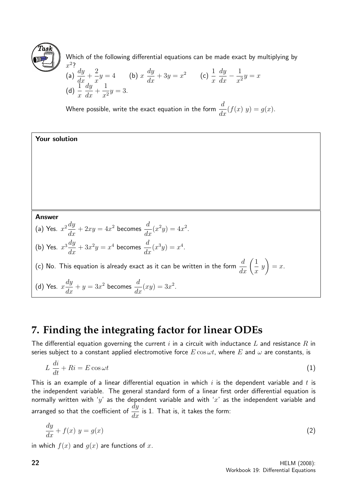

Which of the following differential equations can be made exact by multiplying by  $x^2$ ?

(a) 
$$
\frac{dy}{dx} + \frac{2}{x}y = 4
$$
 (b)  $x \frac{dy}{dx} + 3y = x^2$  (c)  $\frac{1}{x} \frac{dy}{dx} - \frac{1}{x^2}y = x$   
(d)  $\frac{1}{x} \frac{dy}{dx} + \frac{1}{x^2}y = 3$ .

Where possible, write the exact equation in the form  $\frac{d}{d\tau}$  $\frac{d}{dx}(f(x) y) = g(x).$ 

### Your solution

Answer

(a) Yes. 
$$
x^2 \frac{dy}{dx} + 2xy = 4x^2 \text{ becomes } \frac{d}{dx}(x^2y) = 4x^2.
$$

(b) Yes. 
$$
x^3 \frac{dy}{dx} + 3x^2y = x^4 \text{ becomes } \frac{d}{dx}(x^3y) = x^4.
$$

(c) No. This equation is already exact as it can be written in the form  $\displaystyle{\frac{d}{dx}\Big(\frac{1}{x}$  $\overline{x}$  $\hat{y}$  $\setminus$  $= x.$ 

(d) Yes. 
$$
x\frac{dy}{dx} + y = 3x^2
$$
 becomes  $\frac{d}{dx}(xy) = 3x^2$ .

# **7. Finding the integrating factor for linear ODEs**

The differential equation governing the current i in a circuit with inductance L and resistance R in series subject to a constant applied electromotive force  $E \cos \omega t$ , where E and  $\omega$  are constants, is

$$
L\,\frac{di}{dt} + Ri = E\cos\omega t\tag{1}
$$

This is an example of a linear differential equation in which  $i$  is the dependent variable and  $t$  is the independent variable. The general standard form of a linear first order differential equation is normally written with 'y' as the dependent variable and with 'x' as the independent variable and arranged so that the coefficient of  $\frac{dy}{dx}$  $\frac{dy}{dx}$  is 1. That is, it takes the form:

$$
\frac{dy}{dx} + f(x) y = g(x) \tag{2}
$$

in which  $f(x)$  and  $g(x)$  are functions of x.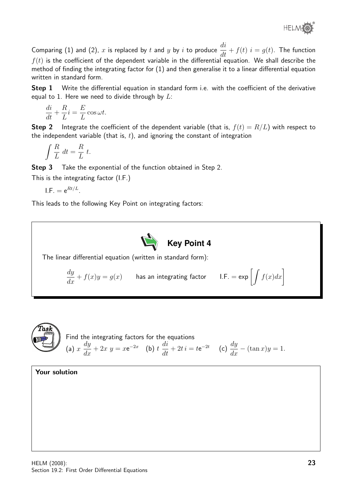

Comparing (1) and (2), x is replaced by t and y by i to produce  $\frac{di}{dt}$  $\frac{du}{dt} + f(t)$   $i = g(t)$ . The function  $f(t)$  is the coefficient of the dependent variable in the differential equation. We shall describe the method of finding the integrating factor for (1) and then generalise it to a linear differential equation written in standard form.

Step 1 Write the differential equation in standard form i.e. with the coefficient of the derivative equal to 1. Here we need to divide through by  $L$ :

$$
\frac{di}{dt} + \frac{R}{L}i = \frac{E}{L}\cos\omega t.
$$

**Step 2** Integrate the coefficient of the dependent variable (that is,  $f(t) = R/L$ ) with respect to the independent variable (that is,  $t$ ), and ignoring the constant of integration

$$
\int \frac{R}{L} dt = \frac{R}{L} t.
$$

**Step 3** Take the exponential of the function obtained in Step 2.

This is the integrating factor (I.F.)

$$
\mathsf{I.F.} = \mathsf{e}^{Rt/L}.
$$

This leads to the following Key Point on integrating factors:





Your solution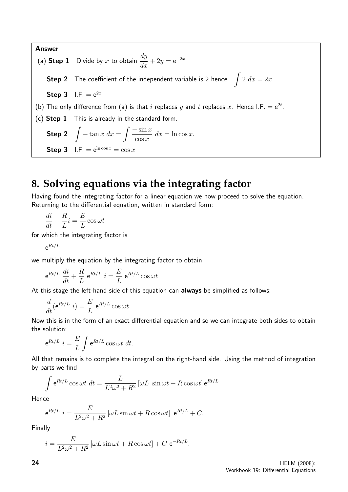Answer (a) Step 1 Divide by x to obtain  $\frac{dy}{dx}$  $\frac{dy}{dx} + 2y = e^{-2x}$ Step 2 The coefficient of the independent variable is 2 hence  $\int 2 dx = 2x$ Step 3  $I.F. = e^{2x}$ (b) The only difference from (a) is that i replaces y and t replaces x. Hence I.F.  $= e^{2t}$ . (c) Step 1 This is already in the standard form. Step 2  $\int -\tan x \ dx = \int \frac{-\sin x}{\tan x}$  $\cos x$  $dx = \ln \cos x.$ **Step 3** I.F.  $= e^{\ln \cos x} = \cos x$ 

# **8. Solving equations via the integrating factor**

Having found the integrating factor for a linear equation we now proceed to solve the equation. Returning to the differential equation, written in standard form:

di  $\frac{du}{dt} +$ R L  $i =$ E L  $\cos \omega t$ 

for which the integrating factor is

 $\mathrm{e}^{Rt/L}$ 

we multiply the equation by the integrating factor to obtain

$$
e^{Rt/L} \frac{di}{dt} + \frac{R}{L} e^{Rt/L} i = \frac{E}{L} e^{Rt/L} \cos \omega t
$$

At this stage the left-hand side of this equation can always be simplified as follows:

$$
\frac{d}{dt}(\mathbf{e}^{Rt/L} i) = \frac{E}{L} \mathbf{e}^{Rt/L} \cos \omega t.
$$

Now this is in the form of an exact differential equation and so we can integrate both sides to obtain the solution:

$$
e^{Rt/L} i = \frac{E}{L} \int e^{Rt/L} \cos \omega t \, dt.
$$

All that remains is to complete the integral on the right-hand side. Using the method of integration by parts we find

$$
\int e^{Rt/L} \cos \omega t \, dt = \frac{L}{L^2 \omega^2 + R^2} \left[ \omega L \, \sin \omega t + R \cos \omega t \right] e^{Rt/L}
$$

Hence

$$
e^{Rt/L} i = \frac{E}{L^2 \omega^2 + R^2} \left[ \omega L \sin \omega t + R \cos \omega t \right] e^{Rt/L} + C.
$$

Finally

$$
i = \frac{E}{L^2 \omega^2 + R^2} \left[ \omega L \sin \omega t + R \cos \omega t \right] + C e^{-Rt/L}.
$$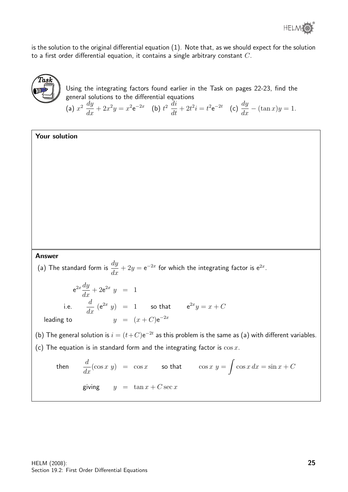is the solution to the original differential equation (1). Note that, as we should expect for the solution to a first order differential equation, it contains a single arbitrary constant  $C$ .



Using the integrating factors found earlier in the Task on pages 22-23, find the general solutions to the differential equations

(a)  $x^2 \frac{dy}{dx}$  $\frac{dy}{dx} + 2x^2y = x^2 e^{-2x}$  (b)  $t^2 \frac{di}{dt}$  $\frac{di}{dt} + 2t^2i = t^2 e^{-2t}$  (c)  $\frac{dy}{dx} - (\tan x)y = 1$ .

### Your solution

#### Answer

(a) The standard form is  $\frac{dy}{dx}$  $\frac{dy}{dx} + 2y = e^{-2x}$  for which the integrating factor is  $e^{2x}$ .

$$
e^{2x}\frac{dy}{dx} + 2e^{2x} y = 1
$$
  
i.e. 
$$
\frac{d}{dx} (e^{2x} y) = 1
$$
 so that 
$$
e^{2x}y = x + C
$$
  
leading to 
$$
y = (x + C)e^{-2x}
$$

(b) The general solution is  $i = (t + C)e^{-2t}$  as this problem is the same as (a) with different variables. (c) The equation is in standard form and the integrating factor is  $\cos x$ .

then 
$$
\frac{d}{dx}(\cos x \ y) = \cos x \quad \text{so that} \quad \cos x \ y = \int \cos x \ dx = \sin x + C
$$
  
giving  $y = \tan x + C \sec x$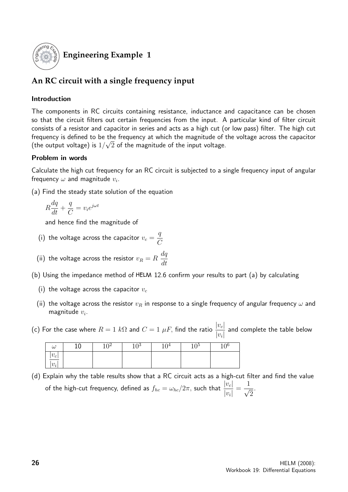

## **Engineering Example 1**

## **An RC circuit with a single frequency input**

### Introduction

The components in RC circuits containing resistance, inductance and capacitance can be chosen so that the circuit filters out certain frequencies from the input. A particular kind of filter circuit consists of a resistor and capacitor in series and acts as a high cut (or low pass) filter. The high cut frequency is defined to be the frequency at which the magnitude of the voltage across the capacitor √ (the output voltage) is  $1/\surd 2$  of the magnitude of the input voltage.

### Problem in words

Calculate the high cut frequency for an RC circuit is subjected to a single frequency input of angular frequency  $\omega$  and magnitude  $v_i$ .

(a) Find the steady state solution of the equation

$$
R\frac{dq}{dt} + \frac{q}{C} = v_i e^{j\omega t}
$$

and hence find the magnitude of

- (i) the voltage across the capacitor  $v_c =$  $\overline{q}$  $\mathcal{C}$
- (ii) the voltage across the resistor  $v_R = R$  $dq$ dt
- (b) Using the impedance method of 12.6 confirm your results to part (a) by calculating
	- (i) the voltage across the capacitor  $v_c$
	- (ii) the voltage across the resistor  $v_R$  in response to a single frequency of angular frequency  $\omega$  and magnitude  $v_i$ .
- (c) For the case where  $R=1 \; k\Omega$  and  $C=1 \; \mu F_{\tau}$  find the ratio  $\frac{|v_c|}{|v_c|}$  $|v_i|$ and complete the table below

| $\tilde{ }$               | ∩≥<br>ັ | 10 <sup>5</sup> | 74 | 10 <sup>5</sup><br>⊥∪ | 70 |
|---------------------------|---------|-----------------|----|-----------------------|----|
| 21<br>$\frac{ U_C }{ U }$ |         |                 |    |                       |    |
| $v_i$                     |         |                 |    |                       |    |

(d) Explain why the table results show that a RC circuit acts as a high-cut filter and find the value of the high-cut frequency, defined as  $f_{hc}=\omega_{hc}/2\pi,$  such that  $\frac{|v_c|}{|v_c|}$  $|v_i|$ =  $\frac{1}{\sqrt{2}}$  $\overline{2}$ .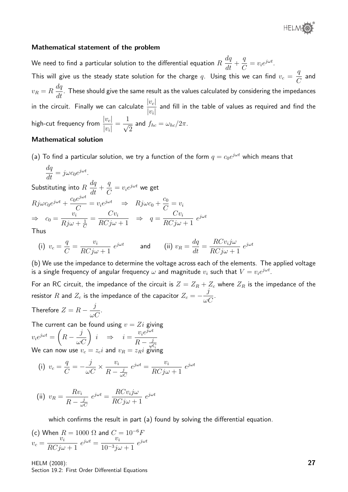

#### Mathematical statement of the problem

We need to find a particular solution to the differential equation  $R$  $dq$  $\frac{dq}{dt} +$  $\overline{q}$  $\frac{q}{C} = v_i e^{j\omega t}.$ This will give us the steady state solution for the charge  $q.$  Using this we can find  $v_c =$  $\overline{q}$  $\mathcal{C}$ and  $v_R = R$  $dq$  $\frac{du}{dt}$  . These should give the same result as the values calculated by considering the impedances in the circuit. Finally we can calculate  $\frac{|v_c|}{|v_c|}$  $|v_i|$ and fill in the table of values as required and find the high-cut frequency from  $\frac{|v_c|}{|v_c|}$  $|v_i|$ =  $\frac{1}{\sqrt{2}}$ 2 and  $f_{hc}=\omega_{hc}/2\pi$ .

#### Mathematical solution

(a) To find a particular solution, we try a function of the form  $q=c_0e^{j\omega t}$  which means that

$$
\frac{dq}{dt} = j\omega c_0 e^{j\omega t}.
$$

Substituting into  $R$  $dq$  $\frac{dq}{dt}$  + q  $\mathcal{C}$  $= v_i e^{j\omega t}$  we get  $Rj\omega c_0e^{j\omega t}+\frac{c_0e^{j\omega t}}{C}$  $\frac{e^{j\omega t}}{C} = v_i e^{j\omega t} \Rightarrow Rj\omega c_0 + \frac{c_0}{C}$  $\frac{c_0}{C} = v_i$  $\Rightarrow$   $c_0 = \frac{v_i}{\sum c_i}$  $Rj\omega + \frac{1}{C}$  $\mathcal{C}_{0}^{(n)}$  $=\frac{Cv_i}{DC}$  $RCj\omega+1$  $\Rightarrow q = \frac{Cv_i}{DC}$  $RCj\omega+1$  $e^{j\omega t}$ 

Thus

(i) 
$$
v_c = \frac{q}{C} = \frac{v_i}{RCj\omega + 1} e^{j\omega t}
$$
 and (ii)  $v_R = \frac{dq}{dt} = \frac{RCv_i j\omega}{RCj\omega + 1} e^{j\omega t}$ 

(b) We use the impedance to determine the voltage across each of the elements. The applied voltage is a single frequency of angular frequency  $\omega$  and magnitude  $v_i$  such that  $V=v_i e^{j\omega t}.$ 

For an RC circuit, the impedance of the circuit is  $Z = Z_R + Z_c$  where  $Z_R$  is the impedance of the resistor R and  $Z_c$  is the impedance of the capacitor  $Z_c = -\frac{j}{\sqrt{2}}$  $\frac{J}{\omega C}$ .

Therefore  $Z = R - \frac{j}{j}$  $\frac{J}{\omega C}$ .

The current can be found using  $v = Z_i$  giving  $v_i e^{j\omega t} = \left($  $R-\frac{j}{\omega C}$  $i \Rightarrow i = \frac{v_i e^{j \omega t}}{R}$  $R-\frac{j}{\omega}$ ωC We can now use  $v_c = z_c i$  and  $v_R = z_R i$  giving

(i) 
$$
v_c = \frac{q}{C} = -\frac{j}{\omega C} \times \frac{v_i}{R - \frac{j}{\omega C}} e^{j\omega t} = \frac{v_i}{RCj\omega + 1} e^{j\omega t}
$$

(ii) 
$$
v_R = \frac{Rv_i}{R - \frac{j}{\omega C}} e^{j\omega t} = \frac{RCv_i j\omega}{RCj\omega + 1} e^{j\omega t}
$$

which confirms the result in part (a) found by solving the differential equation.

(c) When 
$$
R = 1000 \Omega
$$
 and  $C = 10^{-6}F$   
\n
$$
v_c = \frac{v_i}{RCj\omega + 1} e^{j\omega t} = \frac{v_i}{10^{-3}j\omega + 1} e^{j\omega t}
$$

HELM (2008): Section 19.2: First Order Differential Equations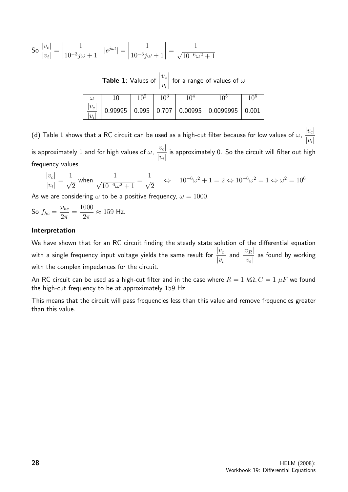So 
$$
\frac{|v_c|}{|v_i|} = \left| \frac{1}{10^{-3}j\omega + 1} \right| |e^{j\omega t}| = \left| \frac{1}{10^{-3}j\omega + 1} \right| = \frac{1}{\sqrt{10^{-6}\omega^2 + 1}}
$$

Table 1: Values of  $\begin{array}{c} \begin{array}{c} \begin{array}{c} \end{array} \\ \begin{array}{c} \end{array} \end{array} \end{array}$  $v_c$  $v_i$  $\begin{array}{c} \begin{array}{c} \begin{array}{c} \end{array} \\ \begin{array}{c} \end{array} \end{array} \end{array}$ for a range of values of  $\omega$ 

| $\omega$         | 1 ႐ | 1 $\Omega$ <sup>2</sup> | 1 ∩3 | 1 በ4 | 1 ∩อ                                            |       |
|------------------|-----|-------------------------|------|------|-------------------------------------------------|-------|
| $ v_c $<br>$v_i$ |     |                         |      |      | $0.99995$   0.995   0.707   0.00995   0.0099995 | 0.001 |

(d) Table 1 shows that a RC circuit can be used as a high-cut filter because for low values of  $\omega, \, \frac{|v_c|}{|v_c|}$  $|v_i|$ is approximately 1 and for high values of  $\omega$ ,  $\frac{|v_c|}{|v_c|}$  $|v_i|$ is approximately 0. So the circuit will filter out high frequency values.

$$
\frac{|v_c|}{|v_i|} = \frac{1}{\sqrt{2}} \text{ when } \frac{1}{\sqrt{10^{-6}\omega^2 + 1}} = \frac{1}{\sqrt{2}} \quad \Leftrightarrow \quad 10^{-6}\omega^2 + 1 = 2 \Leftrightarrow 10^{-6}\omega^2 = 1 \Leftrightarrow \omega^2 = 10^6
$$

As we are considering  $\omega$  to be a positive frequency,  $\omega = 1000$ .

So 
$$
f_{hc} = \frac{\omega_{hc}}{2\pi} = \frac{1000}{2\pi} \approx 159 \text{ Hz}.
$$

#### Interpretation

We have shown that for an RC circuit finding the steady state solution of the differential equation with a single frequency input voltage yields the same result for  $\frac{|v_c|}{|v_c|}$  $|v_i|$ and  $\frac{|v_R|}{|v_R|}$  $|v_i|$ as found by working with the complex impedances for the circuit.

An RC circuit can be used as a high-cut filter and in the case where  $R = 1 k\Omega$ ,  $C = 1 \mu F$  we found the high-cut frequency to be at approximately 159 Hz.

This means that the circuit will pass frequencies less than this value and remove frequencies greater than this value.